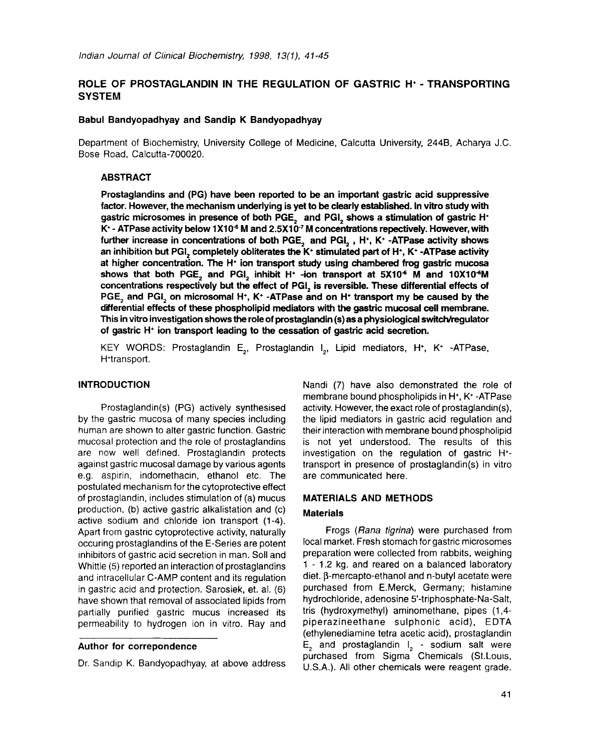# ROLE OF PROSTAGLANDIN IN THE REGULATION OF GASTRIC H<sup>+</sup> - TRANSPORTING **SYSTEM**

### **Babul Bandyopadhyay and Sandip K Bandyopadhyay**

Department of Biochemistry, University College of Medicine, Calcutta University, 244B, Acharya J.C. Bose Road, Calcutta-700020.

## **ABSTRACT**

**Prostaglandins and** (PG) have been reported to be **an important gastric acid suppressive factor. However, the mechanism underlying is yet to be clearly** established. In vitro study with gastric microsomes in presence of both PGE, and PGI, shows a stimulation of gastric H $^+$ K<sup>+</sup> - ATPase activity below 1X10<sup>-6</sup> M and 2.5X10<sup>-7</sup> M concentrations repectively. However, with further increase in concentrations of both PGE<sub>2</sub> and PGI<sub>2</sub>, H<sup>+</sup>, K<sup>+</sup> -ATPase activity shows an inhibition but PGI, completely obliterates the K<sup>+</sup> stimulated part of H<sup>+</sup>, K<sup>+</sup> -ATPase activity at higher concentration. The  $H<sup>*</sup>$  ion transport study using chambered frog gastric mucosa shows that both PGE, and PGI, inhibit H<sup>+</sup> -ion transport at  $5X10<sup>-6</sup>$  M and  $10X10<sup>-6</sup>M$ concentrations respectively but the effect of PGI, is reversible. These differential effects of PGE, and PGI, on microsomal H<sup>+</sup>, K<sup>+</sup> -ATPase and on H<sup>+</sup> transport my be caused by the differential effects of these phospholipid mediators with the gastric mucosal cell membrane. This in vitro investigation shows the role of prostaglandin (s) as a physiological switch/reguiator of gastric  $H^*$  ion transport leading to the cessation of gastric acid secretion.

KEY WORDS: Prostaglandin E<sub>2</sub>, Prostaglandin I<sub>2</sub>, Lipid mediators, H<sup>+</sup>, K<sup>+</sup> -ATPase, H'transport.

#### **INTRODUCTION**

Prostaglandin(s) (PG) actively synthesised by the gastric mucosa of many species including human are shown to alter gastric function. Gastric mucosal protection and the role of prostaglandins are now well defined. Prostaglandin protects against gastric mucosal damage by various agents e.g. aspirin, indomethacin, ethanol etc. The postulated mechanism for the cytoprotective effect of prostaglandin, includes stimulation of (a) mucus production, (b) active gastric alkalistation and (c) active sodium and chloride ion transport (1-4). Apart from gastric cytoprotective activity, naturally occuring prostaglandins of the E-Series are potent inhibitors of gastric acid secretion in man. Soil and Whittle (5) reported an interaction of prostaglandins and intracellular C-AMP content and its regulation in gastric acid and protection. Sarosiek, et. al. (6) have shown that removal of associated lipids from partially purified gastric mucus increased its permeability to hydrogen ion in vitro. Ray and

### Author for **correpondence**

Dr. Sandip K. Bandyopadhyay, at above address

Nandi (7) have also demonstrated the role of membrane bound phospholipids in  $H^*$ ,  $K^*$  -ATPase activity. However, the exact role of prostaglandin(s), the lipid mediators in gastric acid regulation and their interaction with membrane bound phospholipid is not yet understood. The results of this investigation on the regulation of gastric H\* transport in presence of prostaglandin(s) in vitro are communicated here.

### **MATERIALS AND METHODS**

#### **Materials**

Frogs *(Rana tigrina)* were purchased from local market. Fresh stomach for gastric microsomes preparation were collected from rabbits, weighing 1 - 1.2 kg. and reared on a balanced laboratory diet. β-mercapto-ethanol and n-butyl acetate were purchased from E.Merck, Germany; histamine hydrochloride, adenosine 5'-triphosphate-Na-Salt, tris (hydroxymethyl) aminomethane, pipes (1,4 piperazineethane sulphonic acid), EDTA (ethylenediamine tetra acetic acid), prostaglandin  $\mathsf{E}$ , and prostaglandin  $\mathsf{I}$  - sodium salt were purchased from Sigma Chemicals (St.Louis, U.S.A.). All other chemicals were reagent grade.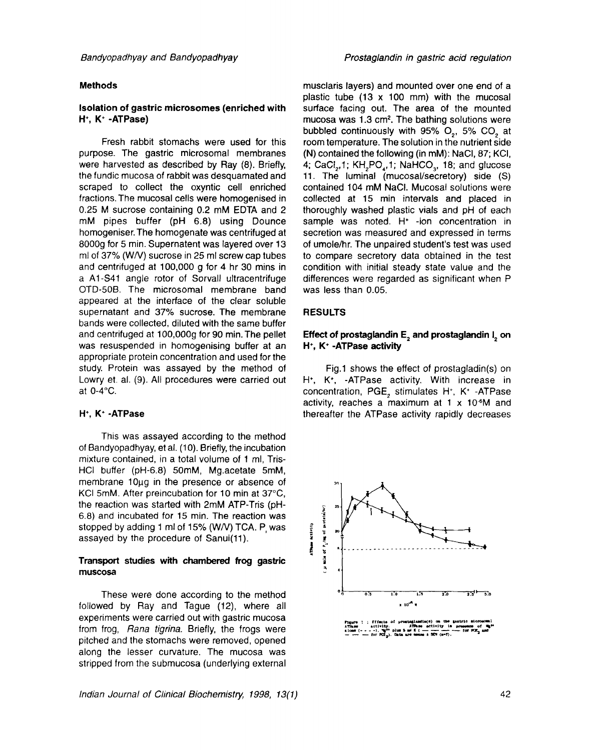#### **Methods**

#### **Isolation of gastric microsomes (enriched with**  H<sup>\*</sup>, K<sup>\*</sup> -ATPase)

Fresh rabbit stomachs were used for this purpose. The gastric microsomal membranes were harvested as described by Ray (8). Briefly, the fundic mucosa of rabbit was desquamated and scraped to collect the oxyntic cell enriched fractions. The mucosal cells were homogenised in 0.25 M sucrose containing 0.2 mM EDTA and 2 mM pipes buffer (pH 6.8) using Dounce homogeniser. The homogenate was centrifuged at 8000g for 5 min. Supernatent was layered over 13 ml of 37% (W/V) sucrose in 25 ml screw cap tubes and centrifuged at 100,000 g for 4 hr 30 mins in a A1-S41 angle rotor of Sorvall ultracentrifuge OTD-50B. The microsomal membrane band appeared at the interface of the clear soluble supernatant and 37% sucrose. The membrane bands were collected, diluted with the same buffer and centrifuged at 100,000g for 90 min. The pellet was resuspended in homogenising buffer at an appropriate protein concentration and used for the study. Protein was assayed by the method of Lowry et. al. (9). All procedures were carried out at 0-4~

#### H<sup>\*</sup>, K<sup>\*</sup> -ATPase

This was assayed according to the method of Bandyopadhyay, et al. (10). Briefly, the incubation mixture contained, in a total volume of 1 ml, Tris-HCI buffer (pH-6.8) 50mM, Mg.acetate 5mM, membrane 10µq in the presence or absence of KCI 5 $m$ M. After preincubation for 10 min at 37 $\degree$ C, the reaction was started with 2mM ATP-Tris (pH-6.8) and incubated for 15 min. The reaction was stopped by adding 1 ml of 15% (W/V) TCA. P, was assayed by the procedure of Sanui(11).

### **Transport studies with chambered frog gastric muscosa**

These were done according to the method followed by Ray and Tague (12), where all experiments were carried out with gastric mucosa from frog, *Rana tigrina.* Briefly, the frogs were pitched and the stomachs were removed, opened along the lesser curvature. The mucosa was stripped from the submucosa (underlying external musclaris layers) and mounted over one end of a plastic tube (13 x 100 mm) with the mucosal surface facing out. The area of the mounted mucosa was  $1.3 \text{ cm}^2$ . The bathing solutions were bubbled continuously with 95% O<sub>2</sub>, 5% CO<sub>2</sub> at room temperature. The solution in the nutrient side (N) contained the following (in mM): NaCI, 87; KCI, 4; CaCl<sub>2</sub>,1; KH<sub>2</sub>PO<sub>4</sub>,1; NaHCO<sub>3</sub>, 18; and glucose 11. The luminal (mucosal/secretory) side (S) contained 104 mM NaCI. Mucosal solutions were collected at 15 min intervals and placed in thoroughly washed plastic vials and pH of each sample was noted.  $H^*$  -ion concentration in secretion was measured and expressed in terms of umole/hr. The unpaired student's test was used to compare secretory data obtained in the test condition with initial steady state value and the differences were regarded as significant when P

#### **RESULTS**

was less than 0.05.

### **Effect of prostaglandin E, and prostaglandin I, on H<sup>\*</sup>, K<sup>\*</sup> -ATPase activity**

Fig.1 shows the effect of prostagladin(s) on H<sup>+</sup>, K<sup>+</sup>, -ATPase activity. With increase in concentration, PGE, stimulates H<sup>+</sup>, K<sup>+</sup> -ATPase activity, reaches a maximum at 1  $\times$  10 $\textdegree$ M and thereafter the ATPase activity rapidly decreases



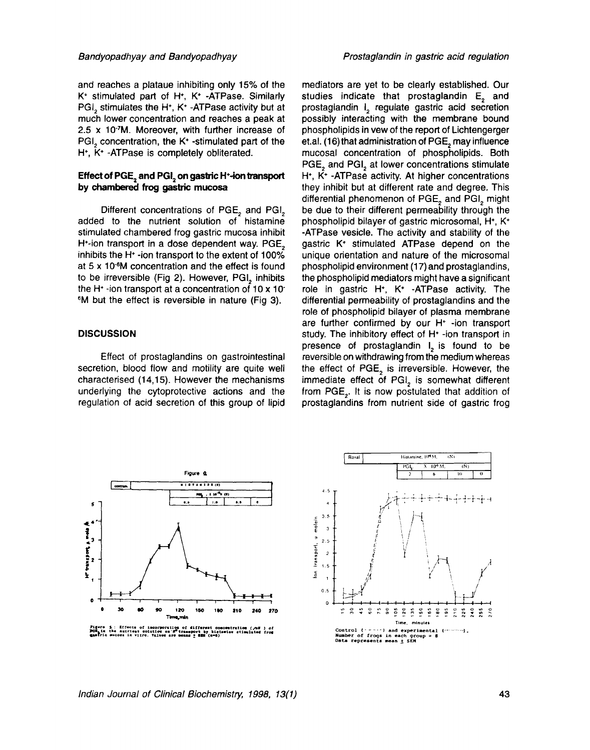and reaches a plataue inhibiting only 15% of the K\* stimulated part of H\*, K\* -ATPase. Similarly PGI<sub>2</sub> stimulates the H<sup> $+$ </sup>, K<sup> $+$ </sup> -ATPase activity but at much lower concentration and reaches a peak at 2.5 x 10~M. Moreover, with further increase of PGI<sub>2</sub> concentration, the K<sup>+</sup> -stimulated part of the  $H<sup>+</sup>$ , K<sup>+</sup> -ATPase is completely obliterated.

## **Effect of PGE, and PGI, on gastric H<sup>+</sup>-ion transport** by chambered frog gastric **mucosa**

Different concentrations of PGE<sub>2</sub> and PGI<sub>2</sub> added to the nutrient solution of histamine stimulated chambered frog gastric mucosa inhibit H<sup>+</sup>-ion transport in a dose dependent way. PGE<sub>2</sub> inhibits the H\* -ion transport to the extent of 100% at 5 x 10-6M concentration and the effect is found to be irreversible (Fig 2). However, PGI, inhibits the H<sup> $+$ </sup>-ion transport at a concentration of 10 x 10 6M but the effect is reversible in nature (Fig 3).

### **DISCUSSION**

Effect of prostaglandins on gastrointestinal secretion, blood flow and motility are quite well characterised (14,15). However the mechanisms underlying the cytoprotective actions and the regulation of acid secretion of this group of lipid

mediators are yet to be clearly established. Our studies indicate that prostaglandin  $E<sub>a</sub>$  and prostaglandin I<sub>2</sub> regulate gastric acid secretion possibly interacting with the membrane bound phospholipids in vew of the report of Lichtengerger et.al. (16) that administration of PGE, may influence mucosal concentration of phospholipids. Both PGE<sub>2</sub> and PGI<sub>2</sub> at lower concentrations stimulate  $H^*$ ,  $\bar{K}^*$  -ATPase activity. At higher concentrations they inhibit but at different rate and degree. This differential phenomenon of PGE<sub>2</sub> and PGI<sub>2</sub> might be due to their different permeability through the phospholipid bilayer of gastric microsomal, H<sup>+</sup>, K<sup>+</sup> -ATPase vesicle. The activity and stability of the gastric  $K^*$  stimulated ATPase depend on the unique orientation and nature of the microsomal phospholipid environment (17) and prostaglandins, the phospholipid mediators might have a significant role in gastric H<sup>+</sup>, K<sup>+</sup> -ATPase activity. The differential permeability of prostaglandins and the role of phospholipid bilayer of plasma membrane are further confirmed by our  $H^*$  -ion transport study. The inhibitory effect of H\* -ion transport in presence of prostaglandin  $I<sub>2</sub>$  is found to be reversible on withdrawing from the medium whereas the effect of PGE<sub>2</sub> is irreversible. However, the immediate effect of PGI<sub>2</sub> is somewhat different from PGE<sub>2</sub>. It is now postulated that addition of prostaglandins from nutrient side of gastric frog



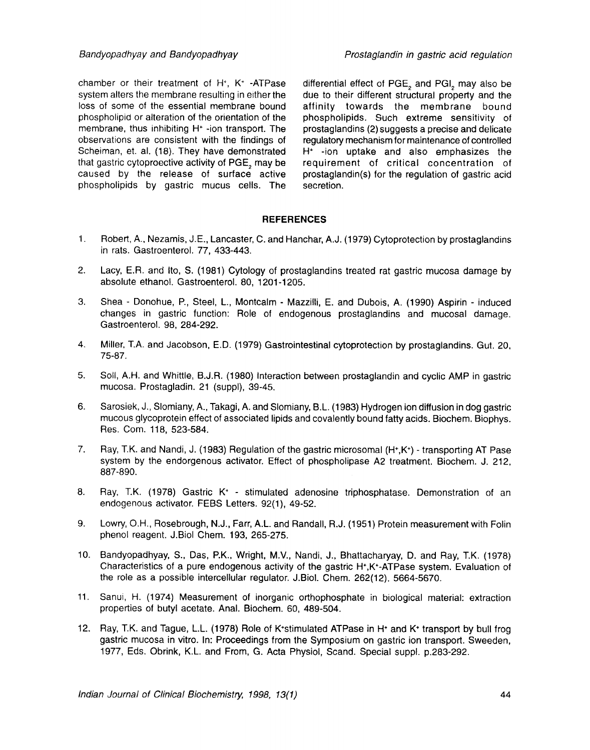chamber or their treatment of  $H^*$ ,  $K^*$  -ATPase system alters the membrane resulting in either the loss of some of the essential membrane bound phospholipicl or alteration of the orientation of the membrane, thus inhibiting  $H^+$  -ion transport. The observations are consistent with the findings of Scheiman, et. al. (18). They have demonstrated that gastric cytoproective activity of PGE, may be caused by the release of surface active phospholipids by gastric mucus cells. The

differential effect of PGE, and PGI, may also be due to their different structural property and the affinity towards the membrane bound phospholipids. Such extreme sensitivity of prostaglandins (2) suggests a precise and delicate regulatory mechanism for maintenance of controlled  $H^*$  -ion uptake and also emphasizes the requirement of critical concentration of prostaglandin(s) for the regulation of gastric acid secretion.

# **REFERENCES**

- . Robert, A., Nezamis, J.E., Lancaster, C. and Hanchar, A.J. (1979) Cytoprotection by prostaglandins in rats. Gastroenterol. 77, 433-443.
- 2. Lacy, E.R. and Ito, S. (1981) Cytology of prostaglandins treated rat gastric mucosa damage by absolute ethanol. Gastroenterol. 80, 1201-1205.
- . Shea - Donohue, P., Steel, L., Montcalm - Mazzilli, E. and Dubois, A. (1990) Aspirin - induced changes in gastric function: Role of endogenous prostaglandins and mucosal damage. Gastroenterol. 98, 284-292.
- $4.$ Miller, T.A. and Jacobson, E.D. (1979) Gastrointestinal cytoprotection by prostaglandins. Gut. 20, 75-87.
- 5. Soil, A.H. and Whittle, B.J.R. (1980) Interaction between prostaglandin and cyclic AMP in gastric mucosa. Prostagladin. 21 (suppl), 39-45.
- 6. Sarosiek, J., Slomiany, A., Takagi, A. and Slomiany, B.L. (1983) Hydrogen ion diffusion in dog gastric mucous glycoprotein effect of associated lipids and covalently bound fatty acids. Biochem. Biophys. Res. Com. 118, 523-584.
- 7. Ray, T.K. and Nandi, J. (1983) Regulation of the gastric microsomal  $(H^+K^+)$  - transporting AT Pase system by the endorgenous activator. Effect of phospholipase A2 treatment. Biochem. J. 212, 887-890.
- **.**  Ray, T.K. (1978) Gastric K<sup>+</sup> - stimulated adenosine triphosphatase. Demonstration of an endogenous activator. FEBS Letters. 92(1), 49-52.
- 9. Lowry, O.H., Rosebrough, N.J., Farr, A.L. and Randall, R.J. (1951) Protein measurement with Folin phenol reagent. J.Biol Chem. 193, 265-275.
- 10. Bandyopadhyay, S., Das, P.K., Wright, M.V., Nandi, J., Bhattacharyay, D. and Ray, T.K. (1978) Characteristics of a pure endogenous activity of the gastric H\*,K\*-ATPase system. Evaluation of the role as a possible intercellular regulator. J.Biol. Chem. 262(12). 5664-5670.
- 11. Sanui, H. (1974) Measurement of inorganic orthophosphate in biological material: extraction properties of butyl acetate. Anal. Biochem. 60, 489-504.
- 12. Ray, T.K. and Tague, L.L. (1978) Role of K\*stimulated ATPase in H\* and K\* transport by bull frog gastric mucosa in vitro. In: Proceedings from the Symposium on gastric ion transport. Sweeden, 1977, Eds. Obrink, K.L. and From, G. Acta Physiol, Scand. Special suppl, p.283-292.